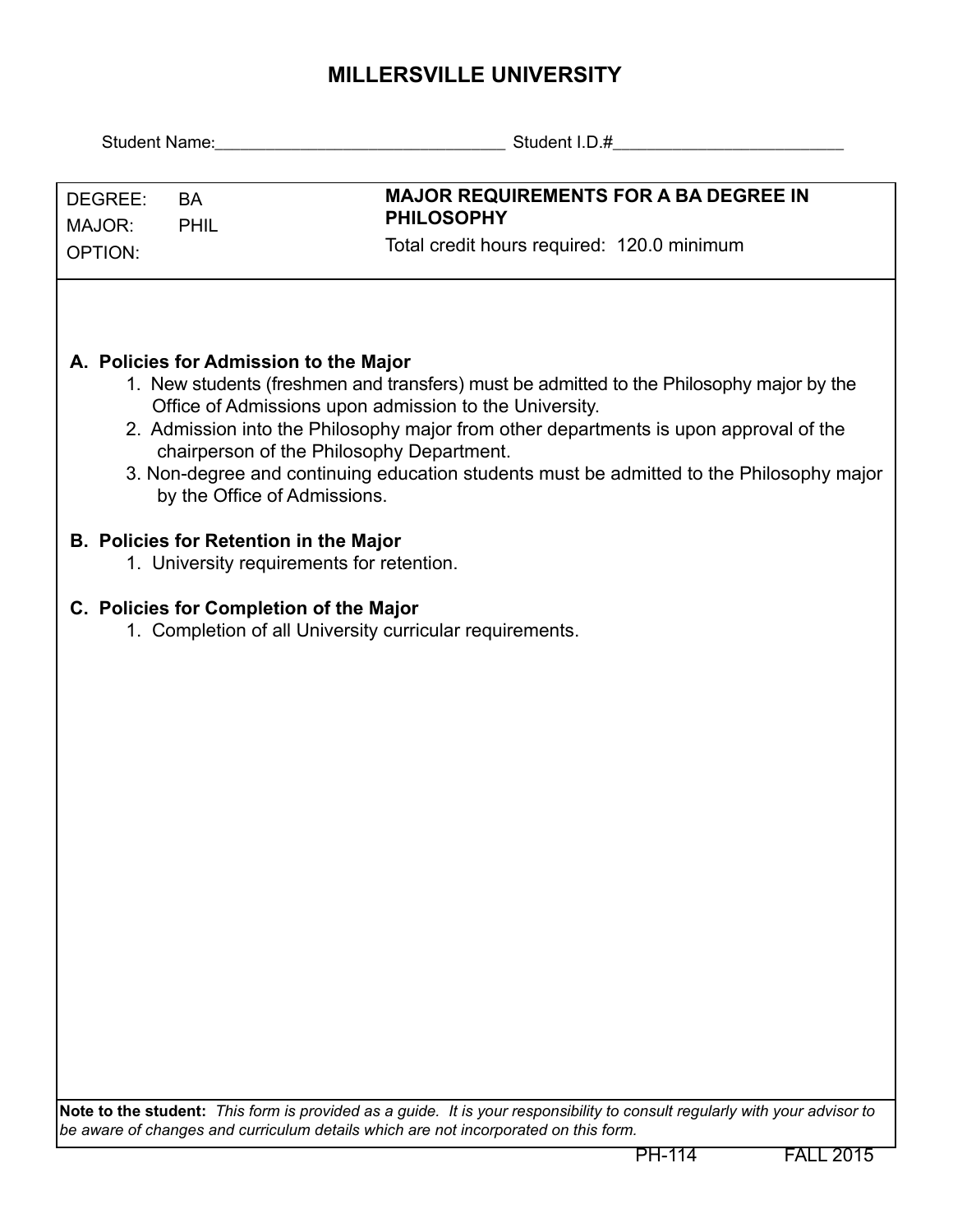## **MILLERSVILLE UNIVERSITY**

| DEGREE:<br><b>BA</b><br>MAJOR:<br><b>PHIL</b><br><b>OPTION:</b>                                     | <b>MAJOR REQUIREMENTS FOR A BA DEGREE IN</b><br><b>PHILOSOPHY</b><br>Total credit hours required: 120.0 minimum                                                                                                                                                                                                                                                                      |  |  |  |  |  |  |
|-----------------------------------------------------------------------------------------------------|--------------------------------------------------------------------------------------------------------------------------------------------------------------------------------------------------------------------------------------------------------------------------------------------------------------------------------------------------------------------------------------|--|--|--|--|--|--|
| A. Policies for Admission to the Major<br>by the Office of Admissions.                              | 1. New students (freshmen and transfers) must be admitted to the Philosophy major by the<br>Office of Admissions upon admission to the University.<br>2. Admission into the Philosophy major from other departments is upon approval of the<br>chairperson of the Philosophy Department.<br>3. Non-degree and continuing education students must be admitted to the Philosophy major |  |  |  |  |  |  |
| <b>B. Policies for Retention in the Major</b><br>1. University requirements for retention.          |                                                                                                                                                                                                                                                                                                                                                                                      |  |  |  |  |  |  |
| C. Policies for Completion of the Major<br>1. Completion of all University curricular requirements. |                                                                                                                                                                                                                                                                                                                                                                                      |  |  |  |  |  |  |
|                                                                                                     |                                                                                                                                                                                                                                                                                                                                                                                      |  |  |  |  |  |  |
|                                                                                                     |                                                                                                                                                                                                                                                                                                                                                                                      |  |  |  |  |  |  |
|                                                                                                     |                                                                                                                                                                                                                                                                                                                                                                                      |  |  |  |  |  |  |
|                                                                                                     |                                                                                                                                                                                                                                                                                                                                                                                      |  |  |  |  |  |  |
|                                                                                                     |                                                                                                                                                                                                                                                                                                                                                                                      |  |  |  |  |  |  |
|                                                                                                     | Note to the student: This form is provided as a guide. It is your responsibility to consult regularly with your advisor to<br>be aware of changes and curriculum details which are not incorporated on this form.                                                                                                                                                                    |  |  |  |  |  |  |

PH-114 FALL 2015